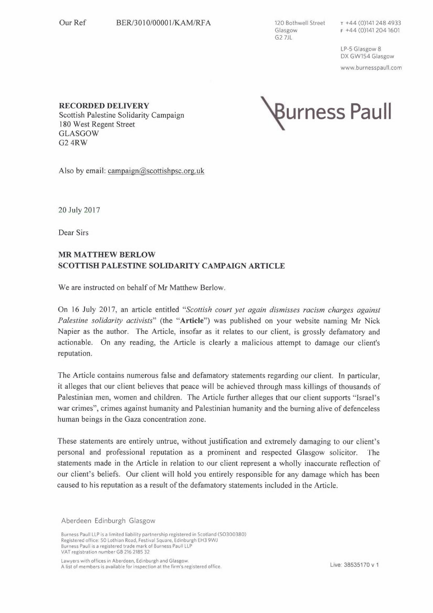120 Bothwell Street Glasgow  $G2 7JL$ 

LP-5 Glasgow 8 DX GW154 Glasgow www.burnesspaull.com

**RECORDED DELIVERY**  Scottish Palestine Solidarity Campaign 180 West Regent Street GLASGOW G24RW



Also by email: campaign@scottishpsc.org.uk

20July2017

Dear Sirs

## **MR MATTHEW BERLOW SCOTTISH PALESTINE SOLIDARITY CAMPAIGN ARTICLE**

We are instructed on behalf of Mr Matthew Berlow.

On 16 July 2017, an article entitled *"Scottish court yet again dismisses racism charges against Palestine solidarity activists"* (the **"Article")** was published on your website naming Mr Nick Napier as the author. The Article, insofar as it relates to our client, is grossly defamatory and actionable. On any reading, the Article is clearly a malicious attempt to damage our client's reputation.

The Article contains numerous false and defamatory statements regarding our client. In particular, it alleges that our client believes that peace will be achieved through mass killings of thousands of Palestinian men, women and children. The Article further alleges that our client supports "Israel's war crimes", crimes against humanity and Palestinian humanity and the burning alive of defenceless human beings in the Gaza concentration zone.

These statements are entirely untrue, without justification and extremely damaging to our client's personal and professional reputation as a prominent and respected Glasgow solicitor. The statements made in the Article in relation to our client represent a wholly inaccurate reflection of our client's beliefs. Our client will hold you entirely responsible for any damage which has been caused to his reputation as a result of the defamatory statements included in the Article.

Aberdeen Edinburgh Glasgow

Burness Paull LLP is a limited liability partnership registered in Scotland (SO300380) Registered office: 50 Lothian Road, Festival Square, Edinburgh EH3 9WJ Burness Paull is a registered trade mark of Burness Paull LLP VAT registration number GB 216 2185 32

Lawyers with offices in Aberdeen, Edinburgh and Glasgow. A list of members is available for inspection at the firm's registered office.